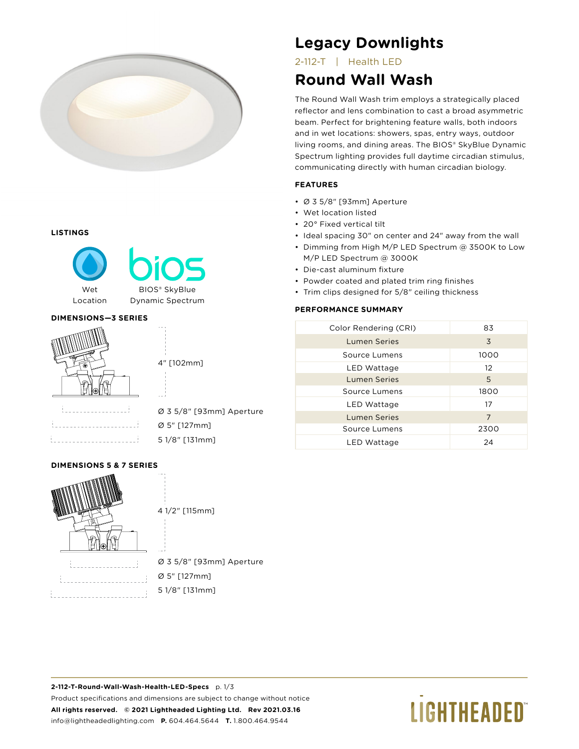

#### **LISTINGS**





#### **DIMENSIONS—3 SERIES**



| 4″ [102mm] |  |
|------------|--|

Ø 5" [127mm] 5 1/8" [131mm]

Ø 3 5/8" [93mm] Aperture

|  | ٠ | -- |  | $\sim$ | $\sim$ |   |  |  |  |  |  |  |
|--|---|----|--|--------|--------|---|--|--|--|--|--|--|
|  |   |    |  |        | -      | - |  |  |  |  |  |  |
|  |   |    |  |        |        |   |  |  |  |  |  |  |

| DIMENSIONS 5 & 7 SERIES |  |  |  |
|-------------------------|--|--|--|



4 1/2" [115mm]

Ø 3 5/8" [93mm] Aperture Ø 5" [127mm] 5 1/8" [131mm]

# **Legacy Downlights**

2-112-T | Health LED

# **Round Wall Wash**

The Round Wall Wash trim employs a strategically placed reflector and lens combination to cast a broad asymmetric beam. Perfect for brightening feature walls, both indoors and in wet locations: showers, spas, entry ways, outdoor living rooms, and dining areas. The BIOS® SkyBlue Dynamic Spectrum lighting provides full daytime circadian stimulus, communicating directly with human circadian biology.

## **FEATURES**

- Ø 3 5/8" [93mm] Aperture
- Wet location listed
- 20° Fixed vertical tilt
- Ideal spacing 30" on center and 24" away from the wall
- Dimming from High M/P LED Spectrum @ 3500K to Low M/P LED Spectrum @ 3000K
- Die-cast aluminum fixture
- Powder coated and plated trim ring finishes
- Trim clips designed for 5/8" ceiling thickness

## **PERFORMANCE SUMMARY**

| Color Rendering (CRI) | 83   |
|-----------------------|------|
| <b>Lumen Series</b>   | 3    |
| Source Lumens         | 1000 |
| LED Wattage           | 12   |
| <b>Lumen Series</b>   | 5    |
| Source Lumens         | 1800 |
| LED Wattage           | 17   |
| <b>Lumen Series</b>   | 7    |
| Source Lumens         | 2300 |
| LED Wattage           | 24   |

**2-112-T-Round-Wall-Wash-Health-LED-Specs** p. 1/3 Product specifications and dimensions are subject to change without notice **All rights reserved. © 2021 Lightheaded Lighting Ltd. Rev 2021.03.16** info@lightheadedlighting.com **P.** 604.464.5644 **T.** 1.800.464.9544

# **LIGHTHEADED**®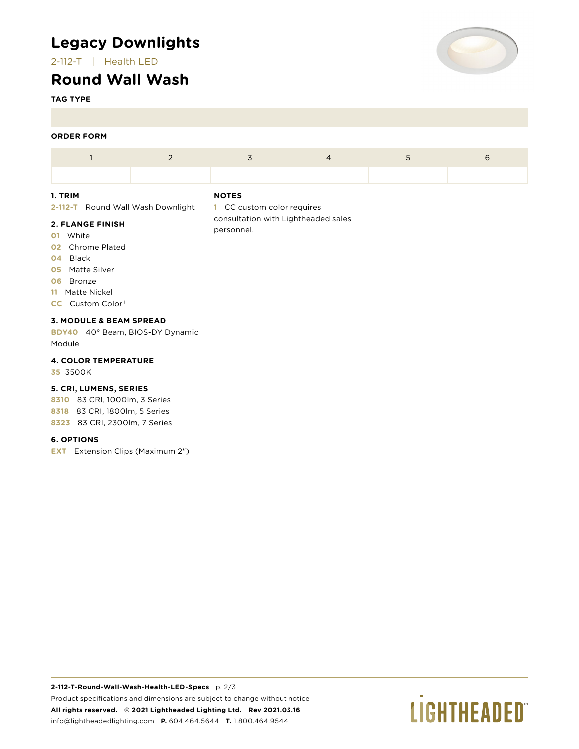# **Legacy Downlights**

2-112-T | Health LED

# **Round Wall Wash**

**TAG TYPE**



#### **ORDER FORM**

consultation with Lightheaded sales

**1** CC custom color requires

#### **1. TRIM**

# **NOTES**

personnel.

**2-112-T** Round Wall Wash Downlight

### **2. FLANGE FINISH**

- **01** White
- **02** Chrome Plated
- **04** Black
- **05** Matte Silver
- **06** Bronze
- **11** Matte Nickel
- **CC** Custom Color<sup>1</sup>

## **3. MODULE & BEAM SPREAD**

**BDY40** 40° Beam, BIOS-DY Dynamic Module

## **4. COLOR TEMPERATURE**

**35** 3500K

# **5. CRI, LUMENS, SERIES**

**8310** 83 CRI, 1000lm, 3 Series **8318** 83 CRI, 1800lm, 5 Series **8323** 83 CRI, 2300lm, 7 Series

#### **6. OPTIONS**

**EXT** Extension Clips (Maximum 2")